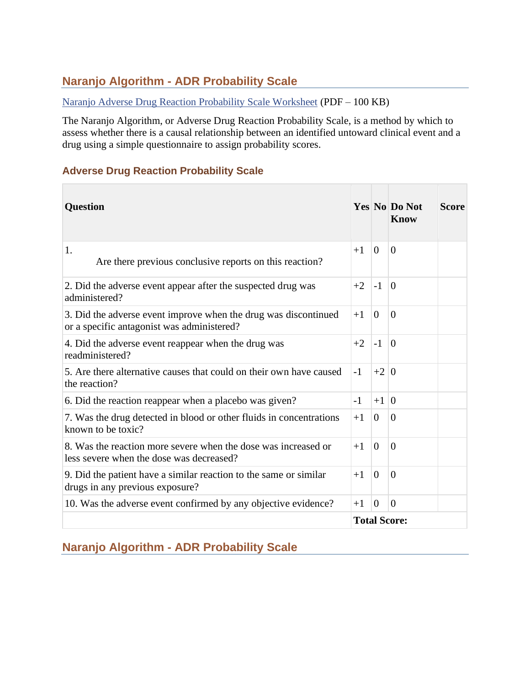# **Naranjo Algorithm - ADR Probability Scale**

#### [Naranjo Adverse Drug Reaction Probability Scale Worksheet](https://www.ncbi.nlm.nih.gov/books/NBK548069/bin/Naranjoassessment.pdf) (PDF – 100 KB)

The Naranjo Algorithm, or Adverse Drug Reaction Probability Scale, is a method by which to assess whether there is a causal relationship between an identified untoward clinical event and a drug using a simple questionnaire to assign probability scores.

#### **Adverse Drug Reaction Probability Scale**

| <b>Question</b>                                                                                               |                     |                | <b>Yes No Do Not</b><br>Know | <b>Score</b> |
|---------------------------------------------------------------------------------------------------------------|---------------------|----------------|------------------------------|--------------|
| 1.<br>Are there previous conclusive reports on this reaction?                                                 | $+1$                | $\Omega$       | $\Omega$                     |              |
| 2. Did the adverse event appear after the suspected drug was<br>administered?                                 | $+2$                | $-1$           | $\theta$                     |              |
| 3. Did the adverse event improve when the drug was discontinued<br>or a specific antagonist was administered? | $+1$                | $\theta$       | $\theta$                     |              |
| 4. Did the adverse event reappear when the drug was<br>readministered?                                        | $+2$                | $-1$           | $\theta$                     |              |
| 5. Are there alternative causes that could on their own have caused<br>the reaction?                          | $-1$                | $+2 0$         |                              |              |
| 6. Did the reaction reappear when a placebo was given?                                                        | $-1$                | $+1$   0       |                              |              |
| 7. Was the drug detected in blood or other fluids in concentrations<br>known to be toxic?                     | $+1$                | $\Omega$       | $\Omega$                     |              |
| 8. Was the reaction more severe when the dose was increased or<br>less severe when the dose was decreased?    | $+1$                | $\overline{0}$ | $\overline{0}$               |              |
| 9. Did the patient have a similar reaction to the same or similar<br>drugs in any previous exposure?          | $+1$                | $\theta$       | $\theta$                     |              |
| 10. Was the adverse event confirmed by any objective evidence?                                                | $+1$                | $\overline{0}$ | $\Omega$                     |              |
|                                                                                                               | <b>Total Score:</b> |                |                              |              |

## **Naranjo Algorithm - ADR Probability Scale**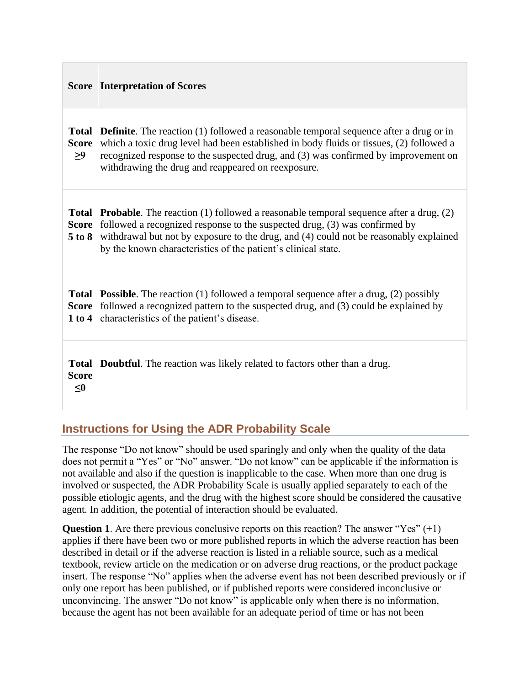|                                          | <b>Score Interpretation of Scores</b>                                                                                                                                                                                                                                                                                                           |
|------------------------------------------|-------------------------------------------------------------------------------------------------------------------------------------------------------------------------------------------------------------------------------------------------------------------------------------------------------------------------------------------------|
| <b>Score</b><br>>9                       | <b>Total Definite.</b> The reaction (1) followed a reasonable temporal sequence after a drug or in<br>which a toxic drug level had been established in body fluids or tissues, (2) followed a<br>recognized response to the suspected drug, and (3) was confirmed by improvement on<br>withdrawing the drug and reappeared on reexposure.       |
| $5$ to $8$                               | <b>Total Probable.</b> The reaction (1) followed a reasonable temporal sequence after a drug, (2)<br>Score followed a recognized response to the suspected drug, (3) was confirmed by<br>withdrawal but not by exposure to the drug, and (4) could not be reasonably explained<br>by the known characteristics of the patient's clinical state. |
| 1 to 4                                   | <b>Total Possible.</b> The reaction (1) followed a temporal sequence after a drug, (2) possibly<br><b>Score</b> followed a recognized pattern to the suspected drug, and (3) could be explained by<br>characteristics of the patient's disease.                                                                                                 |
| <b>Total</b><br><b>Score</b><br>$\leq$ 0 | <b>Doubtful.</b> The reaction was likely related to factors other than a drug.                                                                                                                                                                                                                                                                  |

## **Instructions for Using the ADR Probability Scale**

The response "Do not know" should be used sparingly and only when the quality of the data does not permit a "Yes" or "No" answer. "Do not know" can be applicable if the information is not available and also if the question is inapplicable to the case. When more than one drug is involved or suspected, the ADR Probability Scale is usually applied separately to each of the possible etiologic agents, and the drug with the highest score should be considered the causative agent. In addition, the potential of interaction should be evaluated.

**Question 1**. Are there previous conclusive reports on this reaction? The answer "Yes" (+1) applies if there have been two or more published reports in which the adverse reaction has been described in detail or if the adverse reaction is listed in a reliable source, such as a medical textbook, review article on the medication or on adverse drug reactions, or the product package insert. The response "No" applies when the adverse event has not been described previously or if only one report has been published, or if published reports were considered inconclusive or unconvincing. The answer "Do not know" is applicable only when there is no information, because the agent has not been available for an adequate period of time or has not been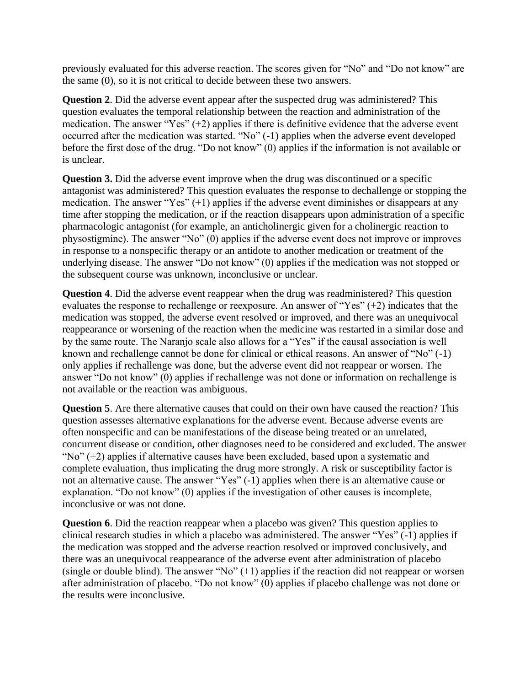previously evaluated for this adverse reaction. The scores given for "No" and "Do not know" are the same (0), so it is not critical to decide between these two answers.

**Question 2**. Did the adverse event appear after the suspected drug was administered? This question evaluates the temporal relationship between the reaction and administration of the medication. The answer "Yes"  $(+2)$  applies if there is definitive evidence that the adverse event occurred after the medication was started. "No" (-1) applies when the adverse event developed before the first dose of the drug. "Do not know" (0) applies if the information is not available or is unclear.

**Question 3.** Did the adverse event improve when the drug was discontinued or a specific antagonist was administered? This question evaluates the response to dechallenge or stopping the medication. The answer "Yes"  $(+1)$  applies if the adverse event diminishes or disappears at any time after stopping the medication, or if the reaction disappears upon administration of a specific pharmacologic antagonist (for example, an anticholinergic given for a cholinergic reaction to physostigmine). The answer "No" (0) applies if the adverse event does not improve or improves in response to a nonspecific therapy or an antidote to another medication or treatment of the underlying disease. The answer "Do not know" (0) applies if the medication was not stopped or the subsequent course was unknown, inconclusive or unclear.

**Question 4**. Did the adverse event reappear when the drug was readministered? This question evaluates the response to rechallenge or reexposure. An answer of "Yes" (+2) indicates that the medication was stopped, the adverse event resolved or improved, and there was an unequivocal reappearance or worsening of the reaction when the medicine was restarted in a similar dose and by the same route. The Naranjo scale also allows for a "Yes" if the causal association is well known and rechallenge cannot be done for clinical or ethical reasons. An answer of "No" (-1) only applies if rechallenge was done, but the adverse event did not reappear or worsen. The answer "Do not know" (0) applies if rechallenge was not done or information on rechallenge is not available or the reaction was ambiguous.

**Question 5**. Are there alternative causes that could on their own have caused the reaction? This question assesses alternative explanations for the adverse event. Because adverse events are often nonspecific and can be manifestations of the disease being treated or an unrelated, concurrent disease or condition, other diagnoses need to be considered and excluded. The answer "No"  $(+2)$  applies if alternative causes have been excluded, based upon a systematic and complete evaluation, thus implicating the drug more strongly. A risk or susceptibility factor is not an alternative cause. The answer "Yes" (-1) applies when there is an alternative cause or explanation. "Do not know" (0) applies if the investigation of other causes is incomplete, inconclusive or was not done.

**Question 6**. Did the reaction reappear when a placebo was given? This question applies to clinical research studies in which a placebo was administered. The answer "Yes" (-1) applies if the medication was stopped and the adverse reaction resolved or improved conclusively, and there was an unequivocal reappearance of the adverse event after administration of placebo (single or double blind). The answer "No"  $(+1)$  applies if the reaction did not reappear or worsen after administration of placebo. "Do not know" (0) applies if placebo challenge was not done or the results were inconclusive.